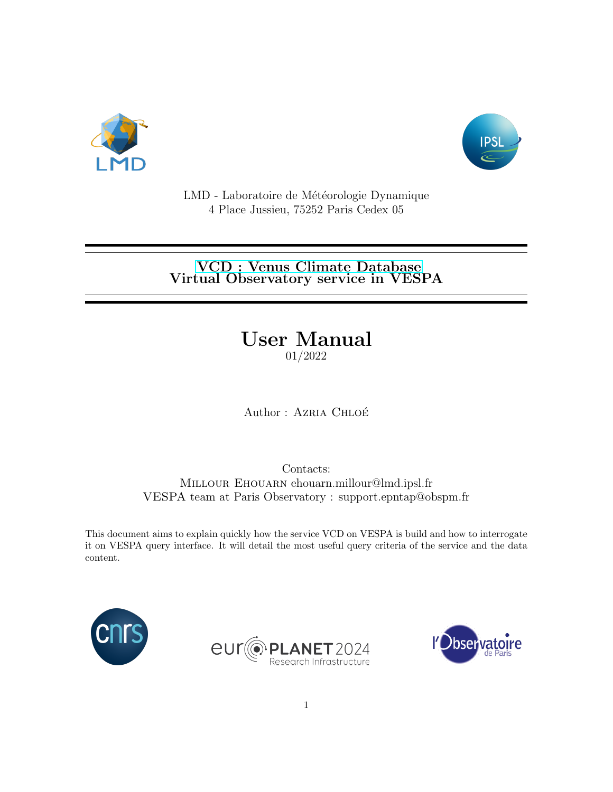



LMD - Laboratoire de Météorologie Dynamique 4 Place Jussieu, 75252 Paris Cedex 05

### [VCD : Venus Climate Database](http://www-venus.lmd.jussieu.fr/) Virtual Observatory service in VESPA

# User Manual

01/2022

Author : AZRIA CHLOÉ

Contacts: Millour Ehouarn ehouarn.millour@lmd.ipsl.fr VESPA team at Paris Observatory : support.epntap@obspm.fr

This document aims to explain quickly how the service VCD on VESPA is build and how to interrogate it on VESPA query interface. It will detail the most useful query criteria of the service and the data content.





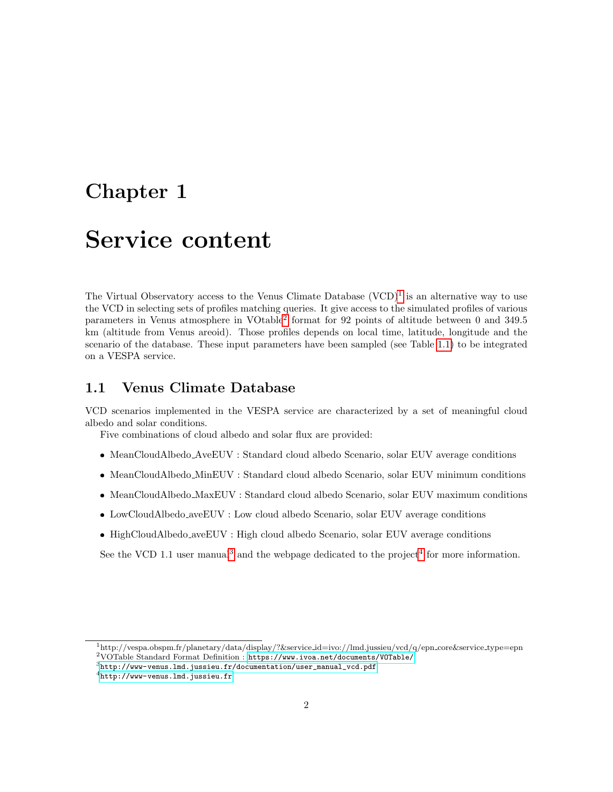## Chapter 1

## Service content

The Virtual Observatory access to the Venus Climate Database  $(VCD)^1$  $(VCD)^1$  is an alternative way to use the VCD in selecting sets of profiles matching queries. It give access to the simulated profiles of various parameters in Venus atmosphere in VOtable<sup>[2](#page-1-1)</sup> format for 92 points of altitude between 0 and 349.5 km (altitude from Venus areoid). Those profiles depends on local time, latitude, longitude and the scenario of the database. These input parameters have been sampled (see Table [1.1\)](#page-2-0) to be integrated on a VESPA service.

#### 1.1 Venus Climate Database

VCD scenarios implemented in the VESPA service are characterized by a set of meaningful cloud albedo and solar conditions.

Five combinations of cloud albedo and solar flux are provided:

- MeanCloudAlbedo AveEUV : Standard cloud albedo Scenario, solar EUV average conditions
- MeanCloudAlbedo MinEUV : Standard cloud albedo Scenario, solar EUV minimum conditions
- MeanCloudAlbedo MaxEUV : Standard cloud albedo Scenario, solar EUV maximum conditions
- LowCloudAlbedo aveEUV : Low cloud albedo Scenario, solar EUV average conditions
- HighCloudAlbedo aveEUV : High cloud albedo Scenario, solar EUV average conditions

See the VCD 1.1 user manual<sup>[3](#page-1-2)</sup> and the webpage dedicated to the project<sup>[4](#page-1-3)</sup> for more information.

<span id="page-1-1"></span><span id="page-1-0"></span><sup>1</sup>http://vespa.obspm.fr/planetary/data/display/?&service id=ivo://lmd.jussieu/vcd/q/epn core&service type=epn <sup>2</sup>VOTable Standard Format Definition : <https://www.ivoa.net/documents/VOTable/>

<span id="page-1-2"></span> $^3$ [http://www-venus.lmd.jussieu.fr/documentation/user\\_manual\\_vcd.pdf](http://www-venus.lmd.jussieu.fr/documentation/user_manual_vcd.pdf)

<span id="page-1-3"></span><sup>4</sup><http://www-venus.lmd.jussieu.fr>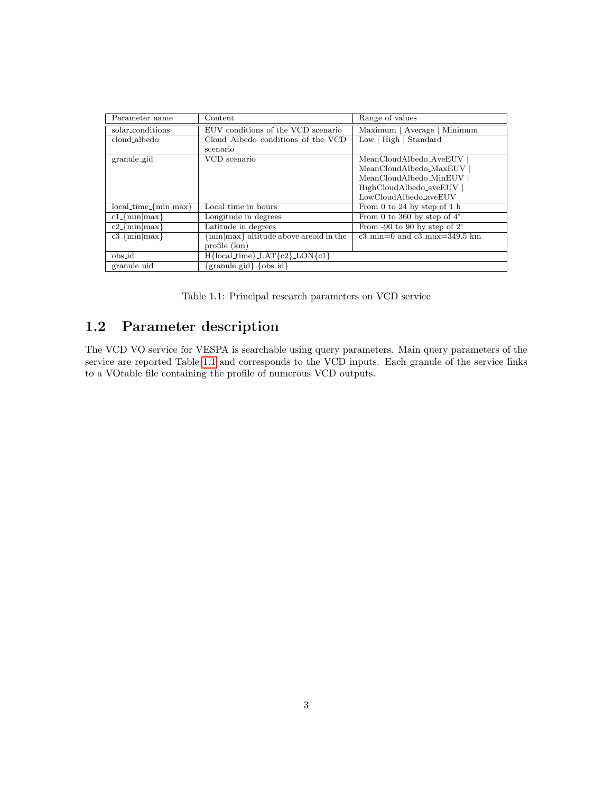| Parameter name                        | Content                                | Range of values                                          |
|---------------------------------------|----------------------------------------|----------------------------------------------------------|
| solar_conditions                      | EUV conditions of the VCD scenario     | Minimum<br>Maximum  <br>Average                          |
| cloud_albedo                          | Cloud Albedo conditions of the VCD     | $Low$   High   Standard                                  |
|                                       | scenario                               |                                                          |
| granule_gid                           | VCD scenario                           | MeanCloudAlbedo_AveEUV                                   |
|                                       |                                        | MeanCloudAlbedo_MaxEUV                                   |
|                                       |                                        | MeanCloudAlbedo_MinEUV                                   |
|                                       |                                        | HighCloudAlbedo_aveEUV                                   |
|                                       |                                        | LowCloudAlbedo_aveEUV                                    |
| $local_time$ $\overline{\{min max\}}$ | Local time in hours                    | From 0 to 24 by step of 1 h                              |
| $c1$ -{ $min max$ }                   | Longitude in degrees                   | From 0 to 360 by step of $4^{\circ}$                     |
| $c2$ -{min max}                       | Latitude in degrees                    | From $-90$ to 90 by step of 2°                           |
| $c3$ -{ $min max$ }                   | {min max} altitude above areoid in the | $c3$ <sub>min</sub> =0 and $c3$ <sub>max</sub> =349.5 km |
|                                       | $profile$ ( $km)$ )                    |                                                          |
| obs_id                                | $H{local_time} LAT{c2} LON{c1}$        |                                                          |
| granule_uid                           | $\{granule\_gid\}$ { $\{obs_id\}$      |                                                          |

<span id="page-2-0"></span>Table 1.1: Principal research parameters on VCD service

### 1.2 Parameter description

The VCD VO service for VESPA is searchable using query parameters. Main query parameters of the service are reported Table [1.1](#page-2-0) and corresponds to the VCD inputs. Each granule of the service links to a VOtable file containing the profile of numerous VCD outputs.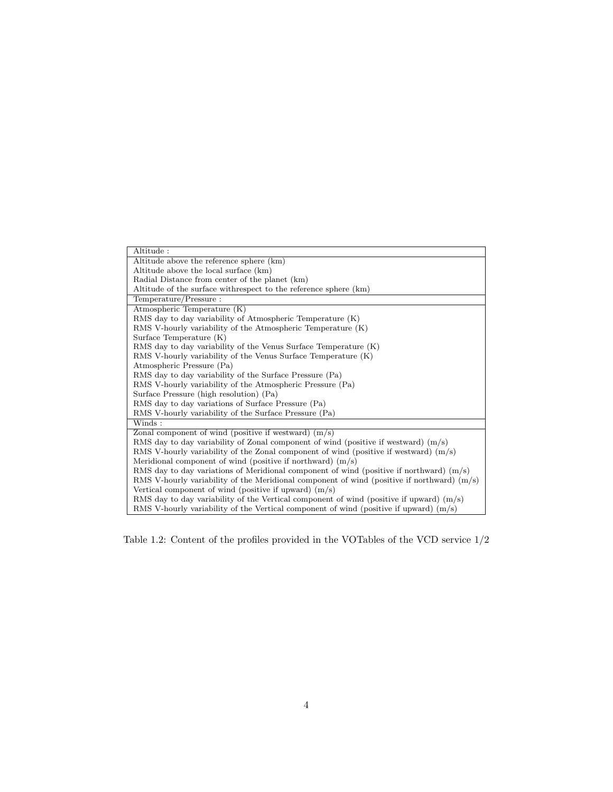| Altitude:                                                                                    |  |  |
|----------------------------------------------------------------------------------------------|--|--|
| Altitude above the reference sphere (km)                                                     |  |  |
| Altitude above the local surface (km)                                                        |  |  |
| Radial Distance from center of the planet (km)                                               |  |  |
| Altitude of the surface with respect to the reference sphere (km)                            |  |  |
| Temperature/Pressure:                                                                        |  |  |
| Atmospheric Temperature (K)                                                                  |  |  |
| RMS day to day variability of Atmospheric Temperature (K)                                    |  |  |
| RMS V-hourly variability of the Atmospheric Temperature (K)                                  |  |  |
| Surface Temperature $(K)$                                                                    |  |  |
| RMS day to day variability of the Venus Surface Temperature (K)                              |  |  |
| RMS V-hourly variability of the Venus Surface Temperature (K)                                |  |  |
| Atmospheric Pressure (Pa)                                                                    |  |  |
| RMS day to day variability of the Surface Pressure (Pa)                                      |  |  |
| RMS V-hourly variability of the Atmospheric Pressure (Pa)                                    |  |  |
| Surface Pressure (high resolution) (Pa)                                                      |  |  |
| RMS day to day variations of Surface Pressure (Pa)                                           |  |  |
| RMS V-hourly variability of the Surface Pressure (Pa)                                        |  |  |
| Winds:                                                                                       |  |  |
| Zonal component of wind (positive if westward) $(m/s)$                                       |  |  |
| RMS day to day variability of Zonal component of wind (positive if westward) $(m/s)$         |  |  |
| RMS V-hourly variability of the Zonal component of wind (positive if westward) $(m/s)$       |  |  |
| Meridional component of wind (positive if northward) $(m/s)$                                 |  |  |
| RMS day to day variations of Meridional component of wind (positive if northward) $(m/s)$    |  |  |
| RMS V-hourly variability of the Meridional component of wind (positive if northward) $(m/s)$ |  |  |
| Vertical component of wind (positive if upward) $(m/s)$                                      |  |  |
| RMS day to day variability of the Vertical component of wind (positive if upward) $(m/s)$    |  |  |
| RMS V-hourly variability of the Vertical component of wind (positive if upward) $(m/s)$      |  |  |

Table 1.2: Content of the profiles provided in the VOTables of the VCD service 1/2